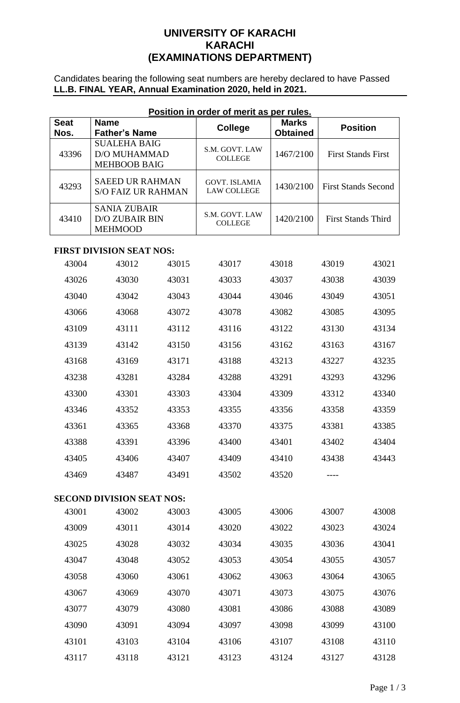### **UNIVERSITY OF KARACHI KARACHI (EXAMINATIONS DEPARTMENT)**

Candidates bearing the following seat numbers are hereby declared to have Passed **LL.B. FINAL YEAR, Annual Examination 2020, held in 2021.**

| <u>Position in order of merit as per rules.</u> |                                                                   |       |                                            |                                 |                            |       |  |  |
|-------------------------------------------------|-------------------------------------------------------------------|-------|--------------------------------------------|---------------------------------|----------------------------|-------|--|--|
| <b>Seat</b><br>Nos.                             | <b>Name</b><br><b>Father's Name</b>                               |       | <b>College</b>                             | <b>Marks</b><br><b>Obtained</b> | <b>Position</b>            |       |  |  |
| 43396                                           | <b>SUALEHA BAIG</b><br><b>D/O MUHAMMAD</b><br><b>MEHBOOB BAIG</b> |       | S.M. GOVT. LAW<br><b>COLLEGE</b>           | 1467/2100                       | <b>First Stands First</b>  |       |  |  |
| 43293                                           | <b>SAEED UR RAHMAN</b><br><b>S/O FAIZ UR RAHMAN</b>               |       | <b>GOVT. ISLAMIA</b><br><b>LAW COLLEGE</b> | 1430/2100                       | <b>First Stands Second</b> |       |  |  |
| 43410                                           | <b>SANIA ZUBAIR</b><br><b>D/O ZUBAIR BIN</b><br><b>MEHMOOD</b>    |       | S.M. GOVT. LAW<br><b>COLLEGE</b>           | 1420/2100                       | <b>First Stands Third</b>  |       |  |  |
|                                                 | <b>FIRST DIVISION SEAT NOS:</b>                                   |       |                                            |                                 |                            |       |  |  |
| 43004                                           | 43012                                                             | 43015 | 43017                                      | 43018                           | 43019                      | 43021 |  |  |
| 43026                                           | 43030                                                             | 43031 | 43033                                      | 43037                           | 43038                      | 43039 |  |  |
| 43040                                           | 43042                                                             | 43043 | 43044                                      | 43046                           | 43049                      | 43051 |  |  |
| 43066                                           | 43068                                                             | 43072 | 43078                                      | 43082                           | 43085                      | 43095 |  |  |
| 43109                                           | 43111                                                             | 43112 | 43116                                      | 43122                           | 43130                      | 43134 |  |  |
| 43139                                           | 43142                                                             | 43150 | 43156                                      | 43162                           | 43163                      | 43167 |  |  |
| 43168                                           | 43169                                                             | 43171 | 43188                                      | 43213                           | 43227                      | 43235 |  |  |
| 43238                                           | 43281                                                             | 43284 | 43288                                      | 43291                           | 43293                      | 43296 |  |  |
| 43300                                           | 43301                                                             | 43303 | 43304                                      | 43309                           | 43312                      | 43340 |  |  |
| 43346                                           | 43352                                                             | 43353 | 43355                                      | 43356                           | 43358                      | 43359 |  |  |
| 43361                                           | 43365                                                             | 43368 | 43370                                      | 43375                           | 43381                      | 43385 |  |  |
| 43388                                           | 43391                                                             | 43396 | 43400                                      | 43401                           | 43402                      | 43404 |  |  |
| 43405                                           | 43406                                                             | 43407 | 43409                                      | 43410                           | 43438                      | 43443 |  |  |
| 43469                                           | 43487                                                             | 43491 | 43502                                      | 43520                           |                            |       |  |  |
| <b>SECOND DIVISION SEAT NOS:</b>                |                                                                   |       |                                            |                                 |                            |       |  |  |
| 43001                                           | 43002                                                             | 43003 | 43005                                      | 43006                           | 43007                      | 43008 |  |  |
| 43009                                           | 43011                                                             | 43014 | 43020                                      | 43022                           | 43023                      | 43024 |  |  |
| 43025                                           | 43028                                                             | 43032 | 43034                                      | 43035                           | 43036                      | 43041 |  |  |
| 43047                                           | 43048                                                             | 43052 | 43053                                      | 43054                           | 43055                      | 43057 |  |  |
| 43058                                           | 43060                                                             | 43061 | 43062                                      | 43063                           | 43064                      | 43065 |  |  |
| 43067                                           | 43069                                                             | 43070 | 43071                                      | 43073                           | 43075                      | 43076 |  |  |
| 43077                                           | 43079                                                             | 43080 | 43081                                      | 43086                           | 43088                      | 43089 |  |  |
| 43090                                           | 43091                                                             | 43094 | 43097                                      | 43098                           | 43099                      | 43100 |  |  |
| 43101                                           | 43103                                                             | 43104 | 43106                                      | 43107                           | 43108                      | 43110 |  |  |
| 43117                                           | 43118                                                             | 43121 | 43123                                      | 43124                           | 43127                      | 43128 |  |  |

## **Position in order of merit as per rules.**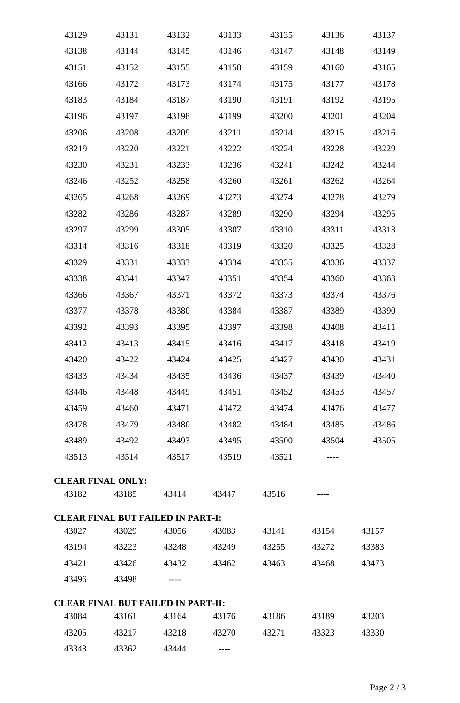| 43129 | 43131                                     | 43132 | 43133 | 43135 | 43136 | 43137 |
|-------|-------------------------------------------|-------|-------|-------|-------|-------|
| 43138 | 43144                                     | 43145 | 43146 | 43147 | 43148 | 43149 |
| 43151 | 43152                                     | 43155 | 43158 | 43159 | 43160 | 43165 |
| 43166 | 43172                                     | 43173 | 43174 | 43175 | 43177 | 43178 |
| 43183 | 43184                                     | 43187 | 43190 | 43191 | 43192 | 43195 |
| 43196 | 43197                                     | 43198 | 43199 | 43200 | 43201 | 43204 |
| 43206 | 43208                                     | 43209 | 43211 | 43214 | 43215 | 43216 |
| 43219 | 43220                                     | 43221 | 43222 | 43224 | 43228 | 43229 |
| 43230 | 43231                                     | 43233 | 43236 | 43241 | 43242 | 43244 |
| 43246 | 43252                                     | 43258 | 43260 | 43261 | 43262 | 43264 |
| 43265 | 43268                                     | 43269 | 43273 | 43274 | 43278 | 43279 |
| 43282 | 43286                                     | 43287 | 43289 | 43290 | 43294 | 43295 |
| 43297 | 43299                                     | 43305 | 43307 | 43310 | 43311 | 43313 |
| 43314 | 43316                                     | 43318 | 43319 | 43320 | 43325 | 43328 |
| 43329 | 43331                                     | 43333 | 43334 | 43335 | 43336 | 43337 |
| 43338 | 43341                                     | 43347 | 43351 | 43354 | 43360 | 43363 |
| 43366 | 43367                                     | 43371 | 43372 | 43373 | 43374 | 43376 |
| 43377 | 43378                                     | 43380 | 43384 | 43387 | 43389 | 43390 |
| 43392 | 43393                                     | 43395 | 43397 | 43398 | 43408 | 43411 |
| 43412 | 43413                                     | 43415 | 43416 | 43417 | 43418 | 43419 |
| 43420 | 43422                                     | 43424 | 43425 | 43427 | 43430 | 43431 |
| 43433 | 43434                                     | 43435 | 43436 | 43437 | 43439 | 43440 |
| 43446 | 43448                                     | 43449 | 43451 | 43452 | 43453 | 43457 |
| 43459 | 43460                                     | 43471 | 43472 | 43474 | 43476 | 43477 |
| 43478 | 43479                                     | 43480 | 43482 | 43484 | 43485 | 43486 |
| 43489 | 43492                                     | 43493 | 43495 | 43500 | 43504 | 43505 |
| 43513 | 43514                                     | 43517 | 43519 | 43521 |       |       |
|       | <b>CLEAR FINAL ONLY:</b>                  |       |       |       |       |       |
| 43182 | 43185                                     | 43414 | 43447 | 43516 |       |       |
|       | <b>CLEAR FINAL BUT FAILED IN PART-I:</b>  |       |       |       |       |       |
| 43027 | 43029                                     | 43056 | 43083 | 43141 | 43154 | 43157 |
| 43194 | 43223                                     | 43248 | 43249 | 43255 | 43272 | 43383 |
| 43421 | 43426                                     | 43432 | 43462 | 43463 | 43468 | 43473 |
| 43496 | 43498                                     |       |       |       |       |       |
|       | <b>CLEAR FINAL BUT FAILED IN PART-II:</b> |       |       |       |       |       |
| 43084 | 43161                                     | 43164 | 43176 | 43186 | 43189 | 43203 |
| 43205 | 43217                                     | 43218 | 43270 | 43271 | 43323 | 43330 |
| 43343 | 43362                                     | 43444 |       |       |       |       |